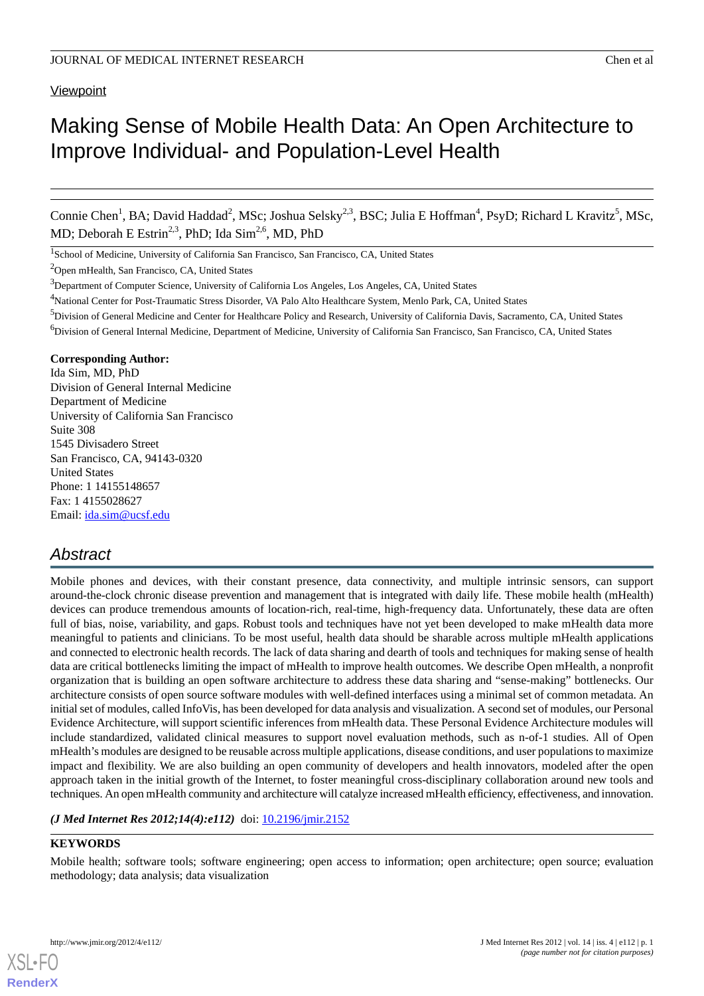### **Viewpoint**

# Making Sense of Mobile Health Data: An Open Architecture to Improve Individual- and Population-Level Health

Connie Chen<sup>1</sup>, BA; David Haddad<sup>2</sup>, MSc; Joshua Selsky<sup>2,3</sup>, BSC; Julia E Hoffman<sup>4</sup>, PsyD; Richard L Kravitz<sup>5</sup>, MSc, MD; Deborah E Estrin<sup>2,3</sup>, PhD; Ida Sim<sup>2,6</sup>, MD, PhD

<sup>1</sup>School of Medicine, University of California San Francisco, San Francisco, CA, United States

<sup>2</sup>Open mHealth, San Francisco, CA, United States

- <sup>4</sup>National Center for Post-Traumatic Stress Disorder, VA Palo Alto Healthcare System, Menlo Park, CA, United States
- <sup>5</sup>Division of General Medicine and Center for Healthcare Policy and Research, University of California Davis, Sacramento, CA, United States <sup>6</sup>Division of General Internal Medicine, Department of Medicine, University of California San Francisco, San Francisco, CA, United States

#### **Corresponding Author:**

Ida Sim, MD, PhD Division of General Internal Medicine Department of Medicine University of California San Francisco Suite 308 1545 Divisadero Street San Francisco, CA, 94143-0320 United States Phone: 1 14155148657 Fax: 1 4155028627 Email: [ida.sim@ucsf.edu](mailto:ida.sim@ucsf.edu)

# *Abstract*

Mobile phones and devices, with their constant presence, data connectivity, and multiple intrinsic sensors, can support around-the-clock chronic disease prevention and management that is integrated with daily life. These mobile health (mHealth) devices can produce tremendous amounts of location-rich, real-time, high-frequency data. Unfortunately, these data are often full of bias, noise, variability, and gaps. Robust tools and techniques have not yet been developed to make mHealth data more meaningful to patients and clinicians. To be most useful, health data should be sharable across multiple mHealth applications and connected to electronic health records. The lack of data sharing and dearth of tools and techniques for making sense of health data are critical bottlenecks limiting the impact of mHealth to improve health outcomes. We describe Open mHealth, a nonprofit organization that is building an open software architecture to address these data sharing and "sense-making" bottlenecks. Our architecture consists of open source software modules with well-defined interfaces using a minimal set of common metadata. An initial set of modules, called InfoVis, has been developed for data analysis and visualization. A second set of modules, our Personal Evidence Architecture, will support scientific inferences from mHealth data. These Personal Evidence Architecture modules will include standardized, validated clinical measures to support novel evaluation methods, such as n-of-1 studies. All of Open mHealth's modules are designed to be reusable across multiple applications, disease conditions, and user populations to maximize impact and flexibility. We are also building an open community of developers and health innovators, modeled after the open approach taken in the initial growth of the Internet, to foster meaningful cross-disciplinary collaboration around new tools and techniques. An open mHealth community and architecture will catalyze increased mHealth efficiency, effectiveness, and innovation.

(*J Med Internet Res 2012;14(4):e112*) doi: **[10.2196/jmir.2152](http://dx.doi.org/10.2196/jmir.2152)** 

#### **KEYWORDS**

Mobile health; software tools; software engineering; open access to information; open architecture; open source; evaluation methodology; data analysis; data visualization

<sup>&</sup>lt;sup>3</sup>Department of Computer Science, University of California Los Angeles, Los Angeles, CA, United States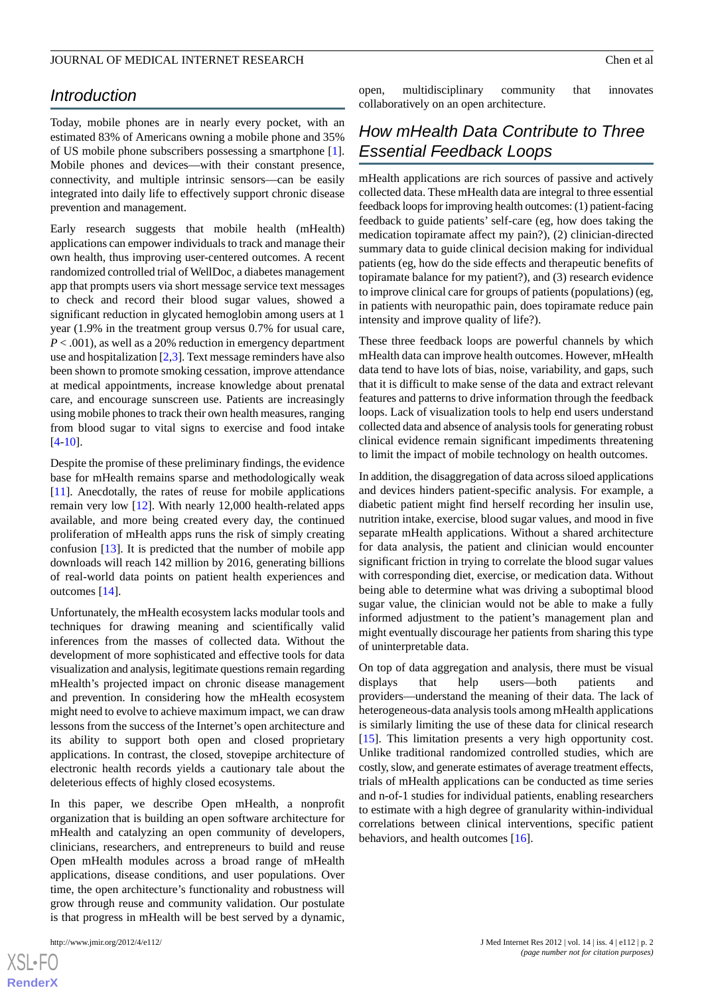# *Introduction*

Today, mobile phones are in nearly every pocket, with an estimated 83% of Americans owning a mobile phone and 35% of US mobile phone subscribers possessing a smartphone [[1\]](#page-7-0). Mobile phones and devices—with their constant presence, connectivity, and multiple intrinsic sensors—can be easily integrated into daily life to effectively support chronic disease prevention and management.

Early research suggests that mobile health (mHealth) applications can empower individuals to track and manage their own health, thus improving user-centered outcomes. A recent randomized controlled trial of WellDoc, a diabetes management app that prompts users via short message service text messages to check and record their blood sugar values, showed a significant reduction in glycated hemoglobin among users at 1 year (1.9% in the treatment group versus 0.7% for usual care, *P* < .001), as well as a 20% reduction in emergency department use and hospitalization  $[2,3]$  $[2,3]$  $[2,3]$ . Text message reminders have also been shown to promote smoking cessation, improve attendance at medical appointments, increase knowledge about prenatal care, and encourage sunscreen use. Patients are increasingly using mobile phones to track their own health measures, ranging from blood sugar to vital signs to exercise and food intake [[4](#page-7-3)[-10](#page-7-4)].

Despite the promise of these preliminary findings, the evidence base for mHealth remains sparse and methodologically weak [[11\]](#page-7-5). Anecdotally, the rates of reuse for mobile applications remain very low [\[12](#page-7-6)]. With nearly 12,000 health-related apps available, and more being created every day, the continued proliferation of mHealth apps runs the risk of simply creating confusion [\[13](#page-7-7)]. It is predicted that the number of mobile app downloads will reach 142 million by 2016, generating billions of real-world data points on patient health experiences and outcomes [[14\]](#page-7-8).

Unfortunately, the mHealth ecosystem lacks modular tools and techniques for drawing meaning and scientifically valid inferences from the masses of collected data. Without the development of more sophisticated and effective tools for data visualization and analysis, legitimate questions remain regarding mHealth's projected impact on chronic disease management and prevention. In considering how the mHealth ecosystem might need to evolve to achieve maximum impact, we can draw lessons from the success of the Internet's open architecture and its ability to support both open and closed proprietary applications. In contrast, the closed, stovepipe architecture of electronic health records yields a cautionary tale about the deleterious effects of highly closed ecosystems.

In this paper, we describe Open mHealth, a nonprofit organization that is building an open software architecture for mHealth and catalyzing an open community of developers, clinicians, researchers, and entrepreneurs to build and reuse Open mHealth modules across a broad range of mHealth applications, disease conditions, and user populations. Over time, the open architecture's functionality and robustness will grow through reuse and community validation. Our postulate is that progress in mHealth will be best served by a dynamic,

 $XS$ -FO **[RenderX](http://www.renderx.com/)** open, multidisciplinary community that innovates collaboratively on an open architecture.

# *How mHealth Data Contribute to Three Essential Feedback Loops*

mHealth applications are rich sources of passive and actively collected data. These mHealth data are integral to three essential feedback loops for improving health outcomes: (1) patient-facing feedback to guide patients' self-care (eg, how does taking the medication topiramate affect my pain?), (2) clinician-directed summary data to guide clinical decision making for individual patients (eg, how do the side effects and therapeutic benefits of topiramate balance for my patient?), and (3) research evidence to improve clinical care for groups of patients (populations) (eg, in patients with neuropathic pain, does topiramate reduce pain intensity and improve quality of life?).

These three feedback loops are powerful channels by which mHealth data can improve health outcomes. However, mHealth data tend to have lots of bias, noise, variability, and gaps, such that it is difficult to make sense of the data and extract relevant features and patterns to drive information through the feedback loops. Lack of visualization tools to help end users understand collected data and absence of analysis tools for generating robust clinical evidence remain significant impediments threatening to limit the impact of mobile technology on health outcomes.

In addition, the disaggregation of data across siloed applications and devices hinders patient-specific analysis. For example, a diabetic patient might find herself recording her insulin use, nutrition intake, exercise, blood sugar values, and mood in five separate mHealth applications. Without a shared architecture for data analysis, the patient and clinician would encounter significant friction in trying to correlate the blood sugar values with corresponding diet, exercise, or medication data. Without being able to determine what was driving a suboptimal blood sugar value, the clinician would not be able to make a fully informed adjustment to the patient's management plan and might eventually discourage her patients from sharing this type of uninterpretable data.

On top of data aggregation and analysis, there must be visual displays that help users—both patients and providers—understand the meaning of their data. The lack of heterogeneous-data analysis tools among mHealth applications is similarly limiting the use of these data for clinical research [[15\]](#page-7-9). This limitation presents a very high opportunity cost. Unlike traditional randomized controlled studies, which are costly, slow, and generate estimates of average treatment effects, trials of mHealth applications can be conducted as time series and n-of-1 studies for individual patients, enabling researchers to estimate with a high degree of granularity within-individual correlations between clinical interventions, specific patient behaviors, and health outcomes [\[16](#page-7-10)].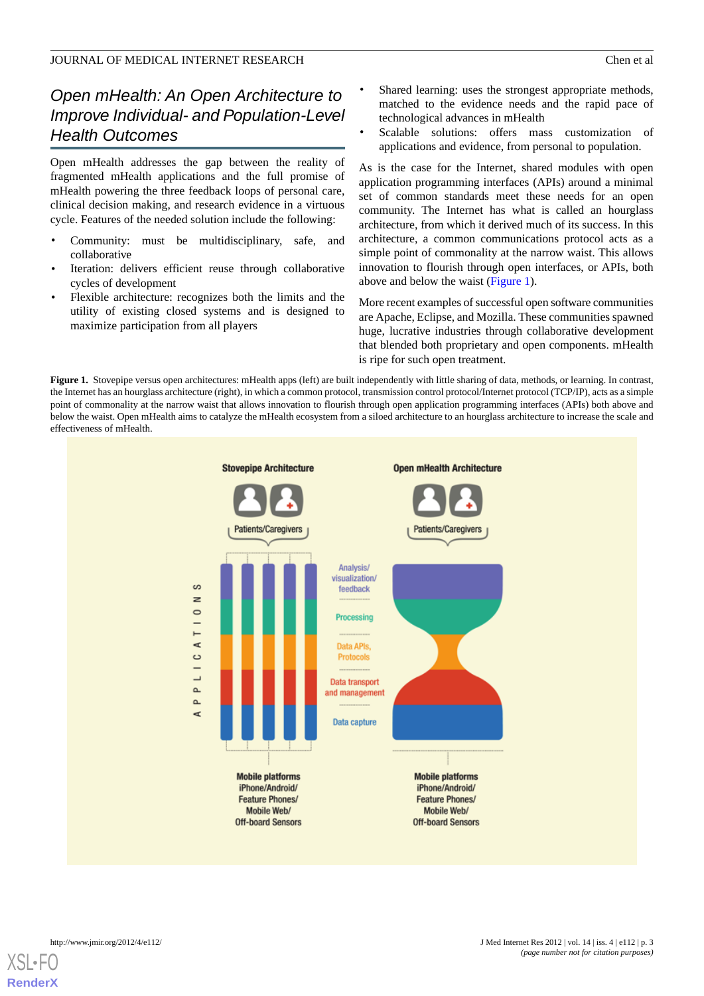# *Open mHealth: An Open Architecture to Improve Individual- and Population-Level Health Outcomes*

Open mHealth addresses the gap between the reality of fragmented mHealth applications and the full promise of mHealth powering the three feedback loops of personal care, clinical decision making, and research evidence in a virtuous cycle. Features of the needed solution include the following:

- Community: must be multidisciplinary, safe, and collaborative
- Iteration: delivers efficient reuse through collaborative cycles of development
- Flexible architecture: recognizes both the limits and the utility of existing closed systems and is designed to maximize participation from all players
- Shared learning: uses the strongest appropriate methods, matched to the evidence needs and the rapid pace of technological advances in mHealth
- Scalable solutions: offers mass customization of applications and evidence, from personal to population.

As is the case for the Internet, shared modules with open application programming interfaces (APIs) around a minimal set of common standards meet these needs for an open community. The Internet has what is called an hourglass architecture, from which it derived much of its success. In this architecture, a common communications protocol acts as a simple point of commonality at the narrow waist. This allows innovation to flourish through open interfaces, or APIs, both above and below the waist ([Figure 1](#page-2-0)).

More recent examples of successful open software communities are Apache, Eclipse, and Mozilla. These communities spawned huge, lucrative industries through collaborative development that blended both proprietary and open components. mHealth is ripe for such open treatment.

<span id="page-2-0"></span>Figure 1. Stovepipe versus open architectures: mHealth apps (left) are built independently with little sharing of data, methods, or learning. In contrast, the Internet has an hourglass architecture (right), in which a common protocol, transmission control protocol/Internet protocol (TCP/IP), acts as a simple point of commonality at the narrow waist that allows innovation to flourish through open application programming interfaces (APIs) both above and below the waist. Open mHealth aims to catalyze the mHealth ecosystem from a siloed architecture to an hourglass architecture to increase the scale and effectiveness of mHealth.

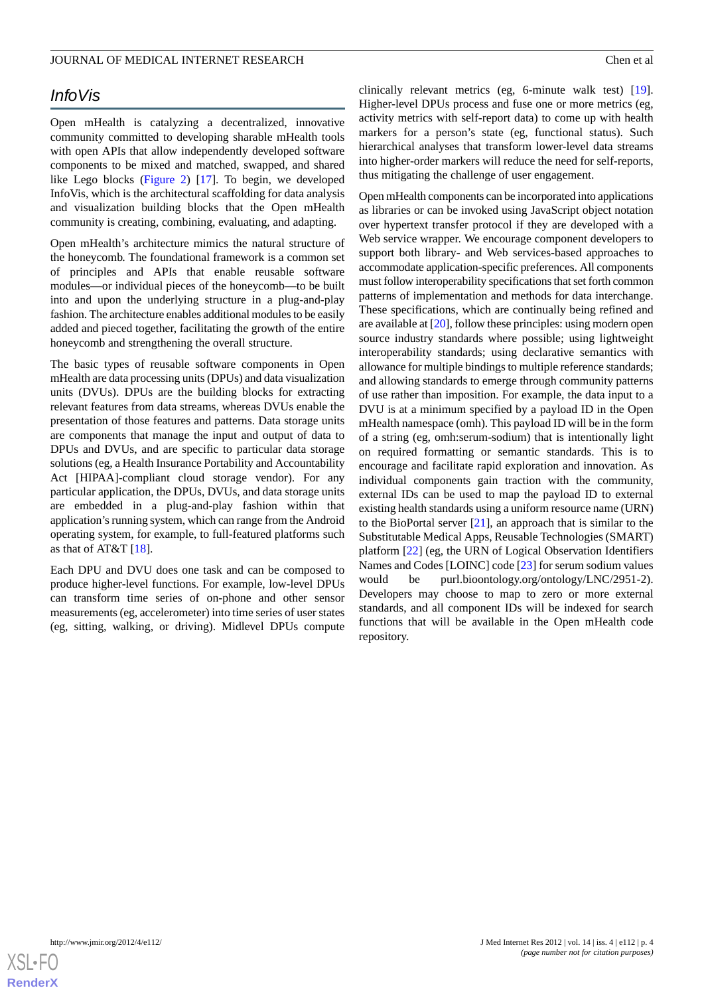# *InfoVis*

Open mHealth is catalyzing a decentralized, innovative community committed to developing sharable mHealth tools with open APIs that allow independently developed software components to be mixed and matched, swapped, and shared like Lego blocks ([Figure 2\)](#page-4-0) [\[17](#page-7-11)]. To begin, we developed InfoVis, which is the architectural scaffolding for data analysis and visualization building blocks that the Open mHealth community is creating, combining, evaluating, and adapting.

Open mHealth's architecture mimics the natural structure of the honeycomb. The foundational framework is a common set of principles and APIs that enable reusable software modules—or individual pieces of the honeycomb—to be built into and upon the underlying structure in a plug-and-play fashion. The architecture enables additional modules to be easily added and pieced together, facilitating the growth of the entire honeycomb and strengthening the overall structure.

The basic types of reusable software components in Open mHealth are data processing units (DPUs) and data visualization units (DVUs). DPUs are the building blocks for extracting relevant features from data streams, whereas DVUs enable the presentation of those features and patterns. Data storage units are components that manage the input and output of data to DPUs and DVUs, and are specific to particular data storage solutions (eg, a Health Insurance Portability and Accountability Act [HIPAA]-compliant cloud storage vendor). For any particular application, the DPUs, DVUs, and data storage units are embedded in a plug-and-play fashion within that application's running system, which can range from the Android operating system, for example, to full-featured platforms such as that of AT&T [[18\]](#page-7-12).

Each DPU and DVU does one task and can be composed to produce higher-level functions. For example, low-level DPUs can transform time series of on-phone and other sensor measurements (eg, accelerometer) into time series of user states (eg, sitting, walking, or driving). Midlevel DPUs compute

clinically relevant metrics (eg, 6-minute walk test) [[19\]](#page-7-13). Higher-level DPUs process and fuse one or more metrics (eg, activity metrics with self-report data) to come up with health markers for a person's state (eg, functional status). Such hierarchical analyses that transform lower-level data streams into higher-order markers will reduce the need for self-reports, thus mitigating the challenge of user engagement.

Open mHealth components can be incorporated into applications as libraries or can be invoked using JavaScript object notation over hypertext transfer protocol if they are developed with a Web service wrapper. We encourage component developers to support both library- and Web services-based approaches to accommodate application-specific preferences. All components must follow interoperability specifications that set forth common patterns of implementation and methods for data interchange. These specifications, which are continually being refined and are available at [\[20\]](#page-7-14), follow these principles: using modern open source industry standards where possible; using lightweight interoperability standards; using declarative semantics with allowance for multiple bindings to multiple reference standards; and allowing standards to emerge through community patterns of use rather than imposition. For example, the data input to a DVU is at a minimum specified by a payload ID in the Open mHealth namespace (omh). This payload ID will be in the form of a string (eg, omh:serum-sodium) that is intentionally light on required formatting or semantic standards. This is to encourage and facilitate rapid exploration and innovation. As individual components gain traction with the community, external IDs can be used to map the payload ID to external existing health standards using a uniform resource name (URN) to the BioPortal server [\[21](#page-7-15)], an approach that is similar to the Substitutable Medical Apps, Reusable Technologies (SMART) platform [\[22](#page-7-16)] (eg, the URN of Logical Observation Identifiers Names and Codes [LOINC] code [\[23](#page-7-17)] for serum sodium values would be purl.bioontology.org/ontology/LNC/2951-2). Developers may choose to map to zero or more external standards, and all component IDs will be indexed for search functions that will be available in the Open mHealth code repository.

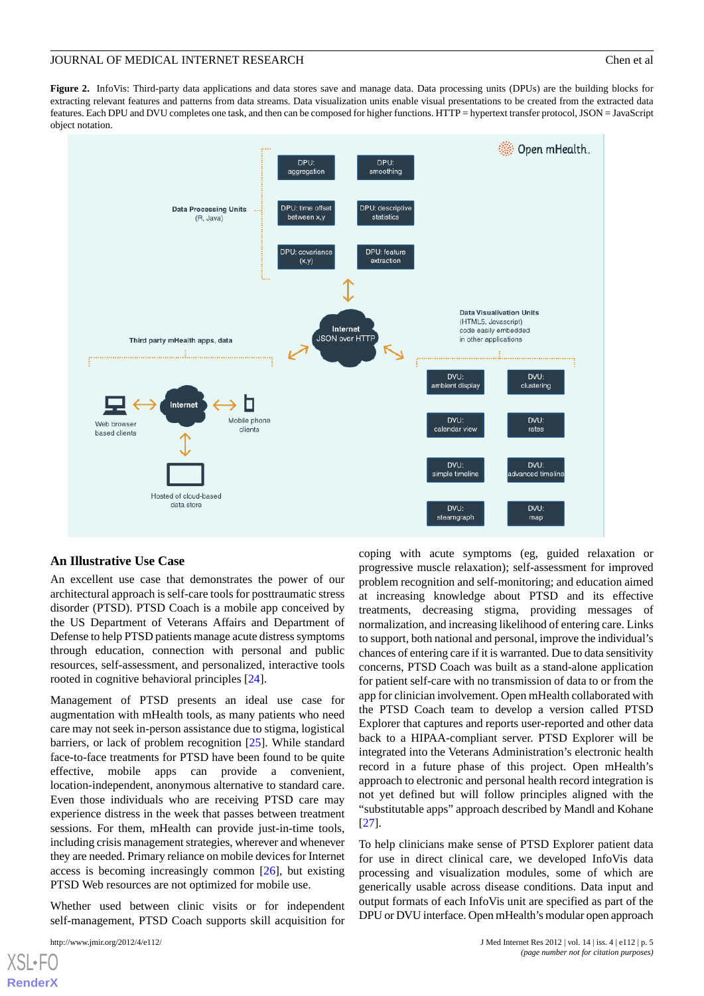<span id="page-4-0"></span>**Figure 2.** InfoVis: Third-party data applications and data stores save and manage data. Data processing units (DPUs) are the building blocks for extracting relevant features and patterns from data streams. Data visualization units enable visual presentations to be created from the extracted data features. Each DPU and DVU completes one task, and then can be composed for higher functions. HTTP = hypertext transfer protocol, JSON = JavaScript object notation.



### **An Illustrative Use Case**

An excellent use case that demonstrates the power of our architectural approach is self-care tools for posttraumatic stress disorder (PTSD). PTSD Coach is a mobile app conceived by the US Department of Veterans Affairs and Department of Defense to help PTSD patients manage acute distress symptoms through education, connection with personal and public resources, self-assessment, and personalized, interactive tools rooted in cognitive behavioral principles [[24\]](#page-8-0).

Management of PTSD presents an ideal use case for augmentation with mHealth tools, as many patients who need care may not seek in-person assistance due to stigma, logistical barriers, or lack of problem recognition [[25\]](#page-8-1). While standard face-to-face treatments for PTSD have been found to be quite effective, mobile apps can provide a convenient, location-independent, anonymous alternative to standard care. Even those individuals who are receiving PTSD care may experience distress in the week that passes between treatment sessions. For them, mHealth can provide just-in-time tools, including crisis management strategies, wherever and whenever they are needed. Primary reliance on mobile devices for Internet access is becoming increasingly common [\[26](#page-8-2)], but existing PTSD Web resources are not optimized for mobile use.

Whether used between clinic visits or for independent self-management, PTSD Coach supports skill acquisition for

 $X$ SL•F **[RenderX](http://www.renderx.com/)** coping with acute symptoms (eg, guided relaxation or progressive muscle relaxation); self-assessment for improved problem recognition and self-monitoring; and education aimed at increasing knowledge about PTSD and its effective treatments, decreasing stigma, providing messages of normalization, and increasing likelihood of entering care. Links to support, both national and personal, improve the individual's chances of entering care if it is warranted. Due to data sensitivity concerns, PTSD Coach was built as a stand-alone application for patient self-care with no transmission of data to or from the app for clinician involvement. Open mHealth collaborated with the PTSD Coach team to develop a version called PTSD Explorer that captures and reports user-reported and other data back to a HIPAA-compliant server. PTSD Explorer will be integrated into the Veterans Administration's electronic health record in a future phase of this project. Open mHealth's approach to electronic and personal health record integration is not yet defined but will follow principles aligned with the "substitutable apps" approach described by Mandl and Kohane [[27\]](#page-8-3).

To help clinicians make sense of PTSD Explorer patient data for use in direct clinical care, we developed InfoVis data processing and visualization modules, some of which are generically usable across disease conditions. Data input and output formats of each InfoVis unit are specified as part of the DPU or DVU interface. Open mHealth's modular open approach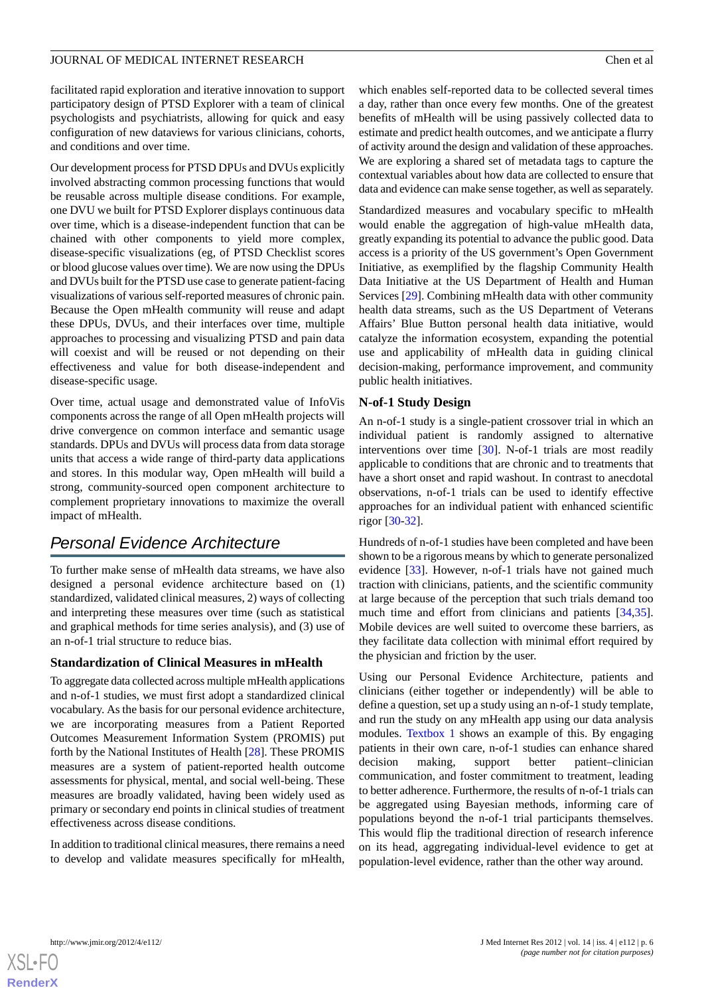facilitated rapid exploration and iterative innovation to support participatory design of PTSD Explorer with a team of clinical psychologists and psychiatrists, allowing for quick and easy configuration of new dataviews for various clinicians, cohorts, and conditions and over time.

Our development process for PTSD DPUs and DVUs explicitly involved abstracting common processing functions that would be reusable across multiple disease conditions. For example, one DVU we built for PTSD Explorer displays continuous data over time, which is a disease-independent function that can be chained with other components to yield more complex, disease-specific visualizations (eg, of PTSD Checklist scores or blood glucose values over time). We are now using the DPUs and DVUs built for the PTSD use case to generate patient-facing visualizations of various self-reported measures of chronic pain. Because the Open mHealth community will reuse and adapt these DPUs, DVUs, and their interfaces over time, multiple approaches to processing and visualizing PTSD and pain data will coexist and will be reused or not depending on their effectiveness and value for both disease-independent and disease-specific usage.

Over time, actual usage and demonstrated value of InfoVis components across the range of all Open mHealth projects will drive convergence on common interface and semantic usage standards. DPUs and DVUs will process data from data storage units that access a wide range of third-party data applications and stores. In this modular way, Open mHealth will build a strong, community-sourced open component architecture to complement proprietary innovations to maximize the overall impact of mHealth.

# *Personal Evidence Architecture*

To further make sense of mHealth data streams, we have also designed a personal evidence architecture based on (1) standardized, validated clinical measures, 2) ways of collecting and interpreting these measures over time (such as statistical and graphical methods for time series analysis), and (3) use of an n-of-1 trial structure to reduce bias.

### **Standardization of Clinical Measures in mHealth**

To aggregate data collected across multiple mHealth applications and n-of-1 studies, we must first adopt a standardized clinical vocabulary. As the basis for our personal evidence architecture, we are incorporating measures from a Patient Reported Outcomes Measurement Information System (PROMIS) put forth by the National Institutes of Health [\[28](#page-8-4)]. These PROMIS measures are a system of patient-reported health outcome assessments for physical, mental, and social well-being. These measures are broadly validated, having been widely used as primary or secondary end points in clinical studies of treatment effectiveness across disease conditions.

In addition to traditional clinical measures, there remains a need to develop and validate measures specifically for mHealth,

which enables self-reported data to be collected several times a day, rather than once every few months. One of the greatest benefits of mHealth will be using passively collected data to estimate and predict health outcomes, and we anticipate a flurry of activity around the design and validation of these approaches. We are exploring a shared set of metadata tags to capture the contextual variables about how data are collected to ensure that data and evidence can make sense together, as well as separately.

Standardized measures and vocabulary specific to mHealth would enable the aggregation of high-value mHealth data, greatly expanding its potential to advance the public good. Data access is a priority of the US government's Open Government Initiative, as exemplified by the flagship Community Health Data Initiative at the US Department of Health and Human Services [\[29](#page-8-5)]. Combining mHealth data with other community health data streams, such as the US Department of Veterans Affairs' Blue Button personal health data initiative, would catalyze the information ecosystem, expanding the potential use and applicability of mHealth data in guiding clinical decision-making, performance improvement, and community public health initiatives.

# **N-of-1 Study Design**

An n-of-1 study is a single-patient crossover trial in which an individual patient is randomly assigned to alternative interventions over time [[30\]](#page-8-6). N-of-1 trials are most readily applicable to conditions that are chronic and to treatments that have a short onset and rapid washout. In contrast to anecdotal observations, n-of-1 trials can be used to identify effective approaches for an individual patient with enhanced scientific rigor [[30](#page-8-6)[-32](#page-8-7)].

Hundreds of n-of-1 studies have been completed and have been shown to be a rigorous means by which to generate personalized evidence [\[33](#page-8-8)]. However, n-of-1 trials have not gained much traction with clinicians, patients, and the scientific community at large because of the perception that such trials demand too much time and effort from clinicians and patients [\[34](#page-8-9),[35\]](#page-8-10). Mobile devices are well suited to overcome these barriers, as they facilitate data collection with minimal effort required by the physician and friction by the user.

Using our Personal Evidence Architecture, patients and clinicians (either together or independently) will be able to define a question, set up a study using an n-of-1 study template, and run the study on any mHealth app using our data analysis modules. [Textbox 1](#page-6-0) shows an example of this. By engaging patients in their own care, n-of-1 studies can enhance shared decision making, support better patient–clinician communication, and foster commitment to treatment, leading to better adherence. Furthermore, the results of n-of-1 trials can be aggregated using Bayesian methods, informing care of populations beyond the n-of-1 trial participants themselves. This would flip the traditional direction of research inference on its head, aggregating individual-level evidence to get at population-level evidence, rather than the other way around.

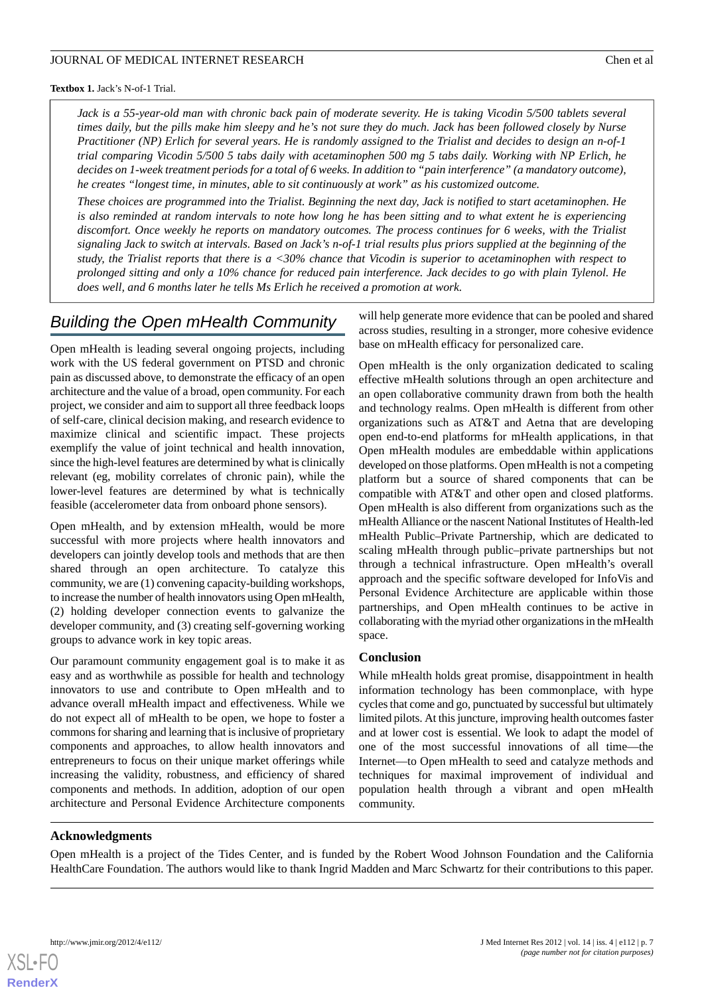<span id="page-6-0"></span>**Textbox 1.** Jack's N-of-1 Trial.

*Jack is a 55-year-old man with chronic back pain of moderate severity. He is taking Vicodin 5/500 tablets several times daily, but the pills make him sleepy and he's not sure they do much. Jack has been followed closely by Nurse Practitioner (NP) Erlich for several years. He is randomly assigned to the Trialist and decides to design an n-of-1 trial comparing Vicodin 5/500 5 tabs daily with acetaminophen 500 mg 5 tabs daily. Working with NP Erlich, he decides on 1-week treatment periods for a total of 6 weeks. In addition to "pain interference" (a mandatory outcome), he creates "longest time, in minutes, able to sit continuously at work" as his customized outcome.*

*These choices are programmed into the Trialist. Beginning the next day, Jack is notified to start acetaminophen. He is also reminded at random intervals to note how long he has been sitting and to what extent he is experiencing discomfort. Once weekly he reports on mandatory outcomes. The process continues for 6 weeks, with the Trialist signaling Jack to switch at intervals. Based on Jack's n-of-1 trial results plus priors supplied at the beginning of the study, the Trialist reports that there is a <30% chance that Vicodin is superior to acetaminophen with respect to prolonged sitting and only a 10% chance for reduced pain interference. Jack decides to go with plain Tylenol. He does well, and 6 months later he tells Ms Erlich he received a promotion at work.*

# *Building the Open mHealth Community*

Open mHealth is leading several ongoing projects, including work with the US federal government on PTSD and chronic pain as discussed above, to demonstrate the efficacy of an open architecture and the value of a broad, open community. For each project, we consider and aim to support all three feedback loops of self-care, clinical decision making, and research evidence to maximize clinical and scientific impact. These projects exemplify the value of joint technical and health innovation, since the high-level features are determined by what is clinically relevant (eg, mobility correlates of chronic pain), while the lower-level features are determined by what is technically feasible (accelerometer data from onboard phone sensors).

Open mHealth, and by extension mHealth, would be more successful with more projects where health innovators and developers can jointly develop tools and methods that are then shared through an open architecture. To catalyze this community, we are (1) convening capacity-building workshops, to increase the number of health innovators using Open mHealth, (2) holding developer connection events to galvanize the developer community, and (3) creating self-governing working groups to advance work in key topic areas.

Our paramount community engagement goal is to make it as easy and as worthwhile as possible for health and technology innovators to use and contribute to Open mHealth and to advance overall mHealth impact and effectiveness. While we do not expect all of mHealth to be open, we hope to foster a commons for sharing and learning that is inclusive of proprietary components and approaches, to allow health innovators and entrepreneurs to focus on their unique market offerings while increasing the validity, robustness, and efficiency of shared components and methods. In addition, adoption of our open architecture and Personal Evidence Architecture components

will help generate more evidence that can be pooled and shared across studies, resulting in a stronger, more cohesive evidence base on mHealth efficacy for personalized care.

Open mHealth is the only organization dedicated to scaling effective mHealth solutions through an open architecture and an open collaborative community drawn from both the health and technology realms. Open mHealth is different from other organizations such as AT&T and Aetna that are developing open end-to-end platforms for mHealth applications, in that Open mHealth modules are embeddable within applications developed on those platforms. Open mHealth is not a competing platform but a source of shared components that can be compatible with AT&T and other open and closed platforms. Open mHealth is also different from organizations such as the mHealth Alliance or the nascent National Institutes of Health-led mHealth Public–Private Partnership, which are dedicated to scaling mHealth through public–private partnerships but not through a technical infrastructure. Open mHealth's overall approach and the specific software developed for InfoVis and Personal Evidence Architecture are applicable within those partnerships, and Open mHealth continues to be active in collaborating with the myriad other organizations in the mHealth space.

### **Conclusion**

While mHealth holds great promise, disappointment in health information technology has been commonplace, with hype cycles that come and go, punctuated by successful but ultimately limited pilots. At this juncture, improving health outcomes faster and at lower cost is essential. We look to adapt the model of one of the most successful innovations of all time—the Internet—to Open mHealth to seed and catalyze methods and techniques for maximal improvement of individual and population health through a vibrant and open mHealth community.

### **Acknowledgments**

Open mHealth is a project of the Tides Center, and is funded by the Robert Wood Johnson Foundation and the California HealthCare Foundation. The authors would like to thank Ingrid Madden and Marc Schwartz for their contributions to this paper.

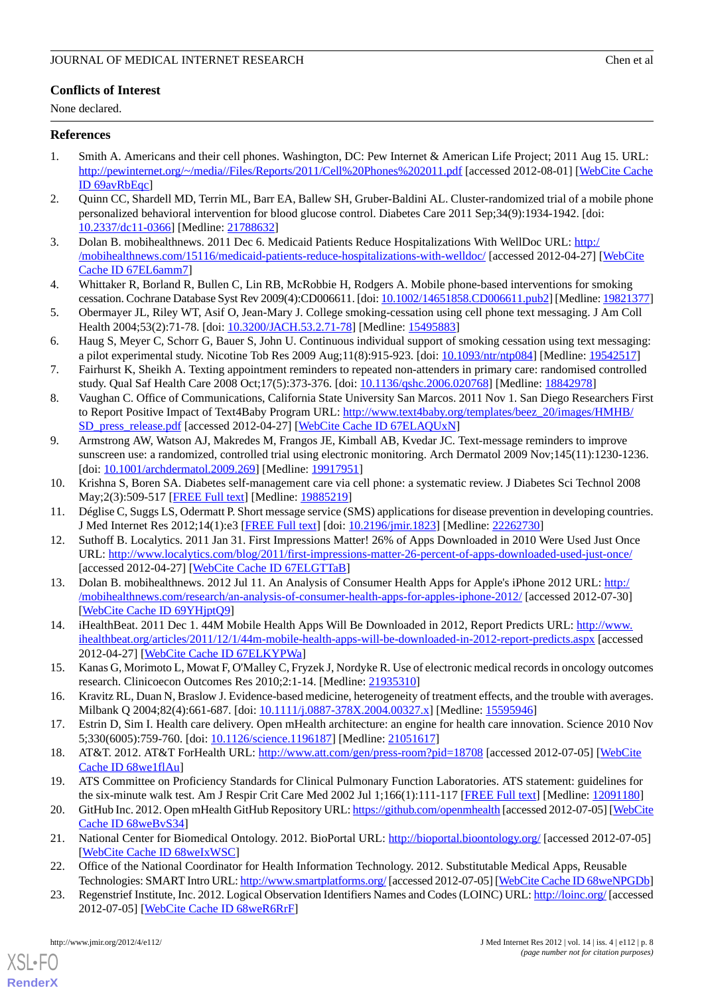# **Conflicts of Interest**

None declared.

## <span id="page-7-0"></span>**References**

- 1. Smith A. Americans and their cell phones. Washington, DC: Pew Internet & American Life Project; 2011 Aug 15. URL: <http://pewinternet.org/~/media//Files/Reports/2011/Cell%20Phones%202011.pdf> [accessed 2012-08-01] [\[WebCite Cache](http://www.webcitation.org/

                                    69avRbEqc) [ID 69avRbEqc](http://www.webcitation.org/

                                    69avRbEqc)]
- <span id="page-7-2"></span><span id="page-7-1"></span>2. Quinn CC, Shardell MD, Terrin ML, Barr EA, Ballew SH, Gruber-Baldini AL. Cluster-randomized trial of a mobile phone personalized behavioral intervention for blood glucose control. Diabetes Care 2011 Sep;34(9):1934-1942. [doi: [10.2337/dc11-0366\]](http://dx.doi.org/10.2337/dc11-0366) [Medline: [21788632](http://www.ncbi.nlm.nih.gov/entrez/query.fcgi?cmd=Retrieve&db=PubMed&list_uids=21788632&dopt=Abstract)]
- <span id="page-7-3"></span>3. Dolan B. mobihealthnews. 2011 Dec 6. Medicaid Patients Reduce Hospitalizations With WellDoc URL: [http:/](http://mobihealthnews.com/15116/medicaid-patients-reduce-hospitalizations-with-welldoc/) [/mobihealthnews.com/15116/medicaid-patients-reduce-hospitalizations-with-welldoc/](http://mobihealthnews.com/15116/medicaid-patients-reduce-hospitalizations-with-welldoc/) [accessed 2012-04-27] [\[WebCite](http://www.webcitation.org/

                                    67EL6amm7) [Cache ID 67EL6amm7](http://www.webcitation.org/

                                    67EL6amm7)]
- 4. Whittaker R, Borland R, Bullen C, Lin RB, McRobbie H, Rodgers A. Mobile phone-based interventions for smoking cessation. Cochrane Database Syst Rev 2009(4):CD006611. [doi: [10.1002/14651858.CD006611.pub2](http://dx.doi.org/10.1002/14651858.CD006611.pub2)] [Medline: [19821377\]](http://www.ncbi.nlm.nih.gov/entrez/query.fcgi?cmd=Retrieve&db=PubMed&list_uids=19821377&dopt=Abstract)
- 5. Obermayer JL, Riley WT, Asif O, Jean-Mary J. College smoking-cessation using cell phone text messaging. J Am Coll Health 2004;53(2):71-78. [doi: [10.3200/JACH.53.2.71-78\]](http://dx.doi.org/10.3200/JACH.53.2.71-78) [Medline: [15495883\]](http://www.ncbi.nlm.nih.gov/entrez/query.fcgi?cmd=Retrieve&db=PubMed&list_uids=15495883&dopt=Abstract)
- 6. Haug S, Meyer C, Schorr G, Bauer S, John U. Continuous individual support of smoking cessation using text messaging: a pilot experimental study. Nicotine Tob Res 2009 Aug;11(8):915-923. [doi: [10.1093/ntr/ntp084\]](http://dx.doi.org/10.1093/ntr/ntp084) [Medline: [19542517](http://www.ncbi.nlm.nih.gov/entrez/query.fcgi?cmd=Retrieve&db=PubMed&list_uids=19542517&dopt=Abstract)]
- 7. Fairhurst K, Sheikh A. Texting appointment reminders to repeated non-attenders in primary care: randomised controlled study. Qual Saf Health Care 2008 Oct;17(5):373-376. [doi: [10.1136/qshc.2006.020768](http://dx.doi.org/10.1136/qshc.2006.020768)] [Medline: [18842978](http://www.ncbi.nlm.nih.gov/entrez/query.fcgi?cmd=Retrieve&db=PubMed&list_uids=18842978&dopt=Abstract)]
- 8. Vaughan C. Office of Communications, California State University San Marcos. 2011 Nov 1. San Diego Researchers First to Report Positive Impact of Text4Baby Program URL: [http://www.text4baby.org/templates/beez\\_20/images/HMHB/](http://www.text4baby.org/templates/beez_20/images/HMHB/SD_press_release.pdf) [SD\\_press\\_release.pdf](http://www.text4baby.org/templates/beez_20/images/HMHB/SD_press_release.pdf) [accessed 2012-04-27] [[WebCite Cache ID 67ELAQUxN\]](http://www.webcitation.org/

                                    67ELAQUxN)
- <span id="page-7-4"></span>9. Armstrong AW, Watson AJ, Makredes M, Frangos JE, Kimball AB, Kvedar JC. Text-message reminders to improve sunscreen use: a randomized, controlled trial using electronic monitoring. Arch Dermatol 2009 Nov;145(11):1230-1236. [doi: [10.1001/archdermatol.2009.269\]](http://dx.doi.org/10.1001/archdermatol.2009.269) [Medline: [19917951\]](http://www.ncbi.nlm.nih.gov/entrez/query.fcgi?cmd=Retrieve&db=PubMed&list_uids=19917951&dopt=Abstract)
- <span id="page-7-6"></span><span id="page-7-5"></span>10. Krishna S, Boren SA. Diabetes self-management care via cell phone: a systematic review. J Diabetes Sci Technol 2008 May;2(3):509-517 [\[FREE Full text\]](http://journalofdst.org/worldpress/index.php?s=Volume+2%2C+Issue+3%3A+509+) [Medline: [19885219](http://www.ncbi.nlm.nih.gov/entrez/query.fcgi?cmd=Retrieve&db=PubMed&list_uids=19885219&dopt=Abstract)]
- 11. Déglise C, Suggs LS, Odermatt P. Short message service (SMS) applications for disease prevention in developing countries. J Med Internet Res 2012;14(1):e3 [\[FREE Full text\]](http://www.jmir.org/2012/1/e3/) [doi: [10.2196/jmir.1823\]](http://dx.doi.org/10.2196/jmir.1823) [Medline: [22262730\]](http://www.ncbi.nlm.nih.gov/entrez/query.fcgi?cmd=Retrieve&db=PubMed&list_uids=22262730&dopt=Abstract)
- <span id="page-7-7"></span>12. Suthoff B. Localytics. 2011 Jan 31. First Impressions Matter! 26% of Apps Downloaded in 2010 Were Used Just Once URL: <http://www.localytics.com/blog/2011/first-impressions-matter-26-percent-of-apps-downloaded-used-just-once/> [accessed 2012-04-27] [\[WebCite Cache ID 67ELGTTaB\]](http://www.webcitation.org/

                                    67ELGTTaB)
- <span id="page-7-9"></span><span id="page-7-8"></span>13. Dolan B. mobihealthnews. 2012 Jul 11. An Analysis of Consumer Health Apps for Apple's iPhone 2012 URL: [http:/](http://mobihealthnews.com/research/an-analysis-of-consumer-health-apps-for-apples-iphone-2012/) [/mobihealthnews.com/research/an-analysis-of-consumer-health-apps-for-apples-iphone-2012/](http://mobihealthnews.com/research/an-analysis-of-consumer-health-apps-for-apples-iphone-2012/) [accessed 2012-07-30] [[WebCite Cache ID 69YHjptQ9\]](http://www.webcitation.org/

                                    69YHjptQ9)
- <span id="page-7-10"></span>14. iHealthBeat. 2011 Dec 1. 44M Mobile Health Apps Will Be Downloaded in 2012, Report Predicts URL: [http://www.](http://www.ihealthbeat.org/articles/2011/12/1/44m-mobile-health-apps-will-be-downloaded-in-2012-report-predicts.aspx) [ihealthbeat.org/articles/2011/12/1/44m-mobile-health-apps-will-be-downloaded-in-2012-report-predicts.aspx](http://www.ihealthbeat.org/articles/2011/12/1/44m-mobile-health-apps-will-be-downloaded-in-2012-report-predicts.aspx) [accessed 2012-04-27] [\[WebCite Cache ID 67ELKYPWa](http://www.webcitation.org/

                                    67ELKYPWa)]
- <span id="page-7-12"></span><span id="page-7-11"></span>15. Kanas G, Morimoto L, Mowat F, O'Malley C, Fryzek J, Nordyke R. Use of electronic medical records in oncology outcomes research. Clinicoecon Outcomes Res 2010;2:1-14. [Medline: [21935310](http://www.ncbi.nlm.nih.gov/entrez/query.fcgi?cmd=Retrieve&db=PubMed&list_uids=21935310&dopt=Abstract)]
- <span id="page-7-13"></span>16. Kravitz RL, Duan N, Braslow J. Evidence-based medicine, heterogeneity of treatment effects, and the trouble with averages. Milbank Q 2004;82(4):661-687. [doi: [10.1111/j.0887-378X.2004.00327.x](http://dx.doi.org/10.1111/j.0887-378X.2004.00327.x)] [Medline: [15595946\]](http://www.ncbi.nlm.nih.gov/entrez/query.fcgi?cmd=Retrieve&db=PubMed&list_uids=15595946&dopt=Abstract)
- <span id="page-7-14"></span>17. Estrin D, Sim I. Health care delivery. Open mHealth architecture: an engine for health care innovation. Science 2010 Nov 5;330(6005):759-760. [doi: [10.1126/science.1196187\]](http://dx.doi.org/10.1126/science.1196187) [Medline: [21051617](http://www.ncbi.nlm.nih.gov/entrez/query.fcgi?cmd=Retrieve&db=PubMed&list_uids=21051617&dopt=Abstract)]
- <span id="page-7-15"></span>18. AT&T. 2012. AT&T ForHealth URL: <http://www.att.com/gen/press-room?pid=18708> [accessed 2012-07-05] [[WebCite](http://www.webcitation.org/

                                    68we1flAu) [Cache ID 68we1flAu](http://www.webcitation.org/

                                    68we1flAu)]
- <span id="page-7-16"></span>19. ATS Committee on Proficiency Standards for Clinical Pulmonary Function Laboratories. ATS statement: guidelines for the six-minute walk test. Am J Respir Crit Care Med 2002 Jul 1;166(1):111-117 [\[FREE Full text\]](http://ajrccm.atsjournals.org/cgi/pmidlookup?view=long&pmid=12091180) [Medline: [12091180](http://www.ncbi.nlm.nih.gov/entrez/query.fcgi?cmd=Retrieve&db=PubMed&list_uids=12091180&dopt=Abstract)]
- <span id="page-7-17"></span>20. GitHub Inc. 2012. Open mHealth GitHub Repository URL:<https://github.com/openmhealth> [accessed 2012-07-05] [[WebCite](http://www.webcitation.org/

                                    68weBvS34) [Cache ID 68weBvS34\]](http://www.webcitation.org/

                                    68weBvS34)
- 21. National Center for Biomedical Ontology. 2012. BioPortal URL: <http://bioportal.bioontology.org/> [accessed 2012-07-05] [[WebCite Cache ID 68weIxWSC](http://www.webcitation.org/

                                    68weIxWSC)]
- 22. Office of the National Coordinator for Health Information Technology. 2012. Substitutable Medical Apps, Reusable Technologies: SMART Intro URL:<http://www.smartplatforms.org/> [accessed 2012-07-05] [\[WebCite Cache ID 68weNPGDb\]](http://www.webcitation.org/

                                    68weNPGDb)
- 23. Regenstrief Institute, Inc. 2012. Logical Observation Identifiers Names and Codes (LOINC) URL:<http://loinc.org/> [accessed 2012-07-05] [\[WebCite Cache ID 68weR6RrF](http://www.webcitation.org/

                                    68weR6RrF)]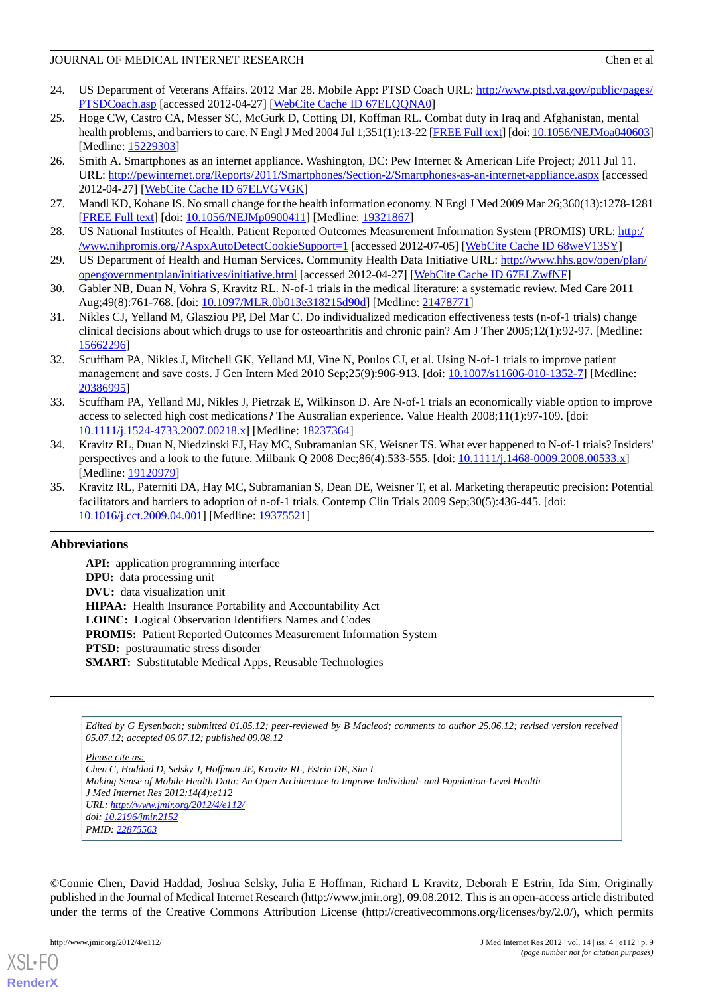- <span id="page-8-0"></span>24. US Department of Veterans Affairs. 2012 Mar 28. Mobile App: PTSD Coach URL: [http://www.ptsd.va.gov/public/pages/](http://www.ptsd.va.gov/public/pages/PTSDCoach.asp) [PTSDCoach.asp](http://www.ptsd.va.gov/public/pages/PTSDCoach.asp) [accessed 2012-04-27] [[WebCite Cache ID 67ELQQNA0](http://www.webcitation.org/

                                    67ELQQNA0)]
- <span id="page-8-1"></span>25. Hoge CW, Castro CA, Messer SC, McGurk D, Cotting DI, Koffman RL. Combat duty in Iraq and Afghanistan, mental health problems, and barriers to care. N Engl J Med 2004 Jul 1;351(1):13-22 [\[FREE Full text\]](http://dx.doi.org/10.1056/NEJMoa040603) [doi: [10.1056/NEJMoa040603\]](http://dx.doi.org/10.1056/NEJMoa040603) [Medline: [15229303](http://www.ncbi.nlm.nih.gov/entrez/query.fcgi?cmd=Retrieve&db=PubMed&list_uids=15229303&dopt=Abstract)]
- <span id="page-8-2"></span>26. Smith A. Smartphones as an internet appliance. Washington, DC: Pew Internet & American Life Project; 2011 Jul 11. URL: <http://pewinternet.org/Reports/2011/Smartphones/Section-2/Smartphones-as-an-internet-appliance.aspx> [accessed 2012-04-27] [\[WebCite Cache ID 67ELVGVGK](http://www.webcitation.org/

                                    67ELVGVGK)]
- <span id="page-8-4"></span><span id="page-8-3"></span>27. Mandl KD, Kohane IS. No small change for the health information economy. N Engl J Med 2009 Mar 26;360(13):1278-1281 [[FREE Full text](http://dx.doi.org/10.1056/NEJMp0900411)] [doi: [10.1056/NEJMp0900411\]](http://dx.doi.org/10.1056/NEJMp0900411) [Medline: [19321867\]](http://www.ncbi.nlm.nih.gov/entrez/query.fcgi?cmd=Retrieve&db=PubMed&list_uids=19321867&dopt=Abstract)
- <span id="page-8-5"></span>28. US National Institutes of Health. Patient Reported Outcomes Measurement Information System (PROMIS) URL: [http:/](http://www.nihpromis.org/?AspxAutoDetectCookieSupport=1) [/www.nihpromis.org/?AspxAutoDetectCookieSupport=1](http://www.nihpromis.org/?AspxAutoDetectCookieSupport=1) [accessed 2012-07-05] [[WebCite Cache ID 68weV13SY](http://www.webcitation.org/

                                    68weV13SY)]
- <span id="page-8-6"></span>29. US Department of Health and Human Services. Community Health Data Initiative URL: [http://www.hhs.gov/open/plan/](http://www.hhs.gov/open/plan/opengovernmentplan/initiatives/initiative.html) [opengovernmentplan/initiatives/initiative.html](http://www.hhs.gov/open/plan/opengovernmentplan/initiatives/initiative.html) [accessed 2012-04-27] [\[WebCite Cache ID 67ELZwfNF\]](http://www.webcitation.org/

                                    67ELZwfNF)
- 30. Gabler NB, Duan N, Vohra S, Kravitz RL. N-of-1 trials in the medical literature: a systematic review. Med Care 2011 Aug;49(8):761-768. [doi: [10.1097/MLR.0b013e318215d90d\]](http://dx.doi.org/10.1097/MLR.0b013e318215d90d) [Medline: [21478771](http://www.ncbi.nlm.nih.gov/entrez/query.fcgi?cmd=Retrieve&db=PubMed&list_uids=21478771&dopt=Abstract)]
- <span id="page-8-7"></span>31. Nikles CJ, Yelland M, Glasziou PP, Del Mar C. Do individualized medication effectiveness tests (n-of-1 trials) change clinical decisions about which drugs to use for osteoarthritis and chronic pain? Am J Ther 2005;12(1):92-97. [Medline: [15662296](http://www.ncbi.nlm.nih.gov/entrez/query.fcgi?cmd=Retrieve&db=PubMed&list_uids=15662296&dopt=Abstract)]
- <span id="page-8-8"></span>32. Scuffham PA, Nikles J, Mitchell GK, Yelland MJ, Vine N, Poulos CJ, et al. Using N-of-1 trials to improve patient management and save costs. J Gen Intern Med 2010 Sep;25(9):906-913. [doi: [10.1007/s11606-010-1352-7](http://dx.doi.org/10.1007/s11606-010-1352-7)] [Medline: [20386995](http://www.ncbi.nlm.nih.gov/entrez/query.fcgi?cmd=Retrieve&db=PubMed&list_uids=20386995&dopt=Abstract)]
- <span id="page-8-9"></span>33. Scuffham PA, Yelland MJ, Nikles J, Pietrzak E, Wilkinson D. Are N-of-1 trials an economically viable option to improve access to selected high cost medications? The Australian experience. Value Health 2008;11(1):97-109. [doi: [10.1111/j.1524-4733.2007.00218.x\]](http://dx.doi.org/10.1111/j.1524-4733.2007.00218.x) [Medline: [18237364\]](http://www.ncbi.nlm.nih.gov/entrez/query.fcgi?cmd=Retrieve&db=PubMed&list_uids=18237364&dopt=Abstract)
- <span id="page-8-10"></span>34. Kravitz RL, Duan N, Niedzinski EJ, Hay MC, Subramanian SK, Weisner TS. What ever happened to N-of-1 trials? Insiders' perspectives and a look to the future. Milbank Q 2008 Dec;86(4):533-555. [doi: [10.1111/j.1468-0009.2008.00533.x](http://dx.doi.org/10.1111/j.1468-0009.2008.00533.x)] [Medline: [19120979](http://www.ncbi.nlm.nih.gov/entrez/query.fcgi?cmd=Retrieve&db=PubMed&list_uids=19120979&dopt=Abstract)]
- 35. Kravitz RL, Paterniti DA, Hay MC, Subramanian S, Dean DE, Weisner T, et al. Marketing therapeutic precision: Potential facilitators and barriers to adoption of n-of-1 trials. Contemp Clin Trials 2009 Sep;30(5):436-445. [doi: [10.1016/j.cct.2009.04.001](http://dx.doi.org/10.1016/j.cct.2009.04.001)] [Medline: [19375521](http://www.ncbi.nlm.nih.gov/entrez/query.fcgi?cmd=Retrieve&db=PubMed&list_uids=19375521&dopt=Abstract)]

### **Abbreviations**

**API:** application programming interface **DPU:** data processing unit **DVU:** data visualization unit **HIPAA:** Health Insurance Portability and Accountability Act **LOINC:** Logical Observation Identifiers Names and Codes PROMIS: Patient Reported Outcomes Measurement Information System **PTSD:** posttraumatic stress disorder **SMART:** Substitutable Medical Apps, Reusable Technologies

*Edited by G Eysenbach; submitted 01.05.12; peer-reviewed by B Macleod; comments to author 25.06.12; revised version received 05.07.12; accepted 06.07.12; published 09.08.12*

*Please cite as: Chen C, Haddad D, Selsky J, Hoffman JE, Kravitz RL, Estrin DE, Sim I Making Sense of Mobile Health Data: An Open Architecture to Improve Individual- and Population-Level Health J Med Internet Res 2012;14(4):e112 URL: <http://www.jmir.org/2012/4/e112/> doi: [10.2196/jmir.2152](http://dx.doi.org/10.2196/jmir.2152) PMID: [22875563](http://www.ncbi.nlm.nih.gov/entrez/query.fcgi?cmd=Retrieve&db=PubMed&list_uids=22875563&dopt=Abstract)*

©Connie Chen, David Haddad, Joshua Selsky, Julia E Hoffman, Richard L Kravitz, Deborah E Estrin, Ida Sim. Originally published in the Journal of Medical Internet Research (http://www.jmir.org), 09.08.2012. This is an open-access article distributed under the terms of the Creative Commons Attribution License (http://creativecommons.org/licenses/by/2.0/), which permits